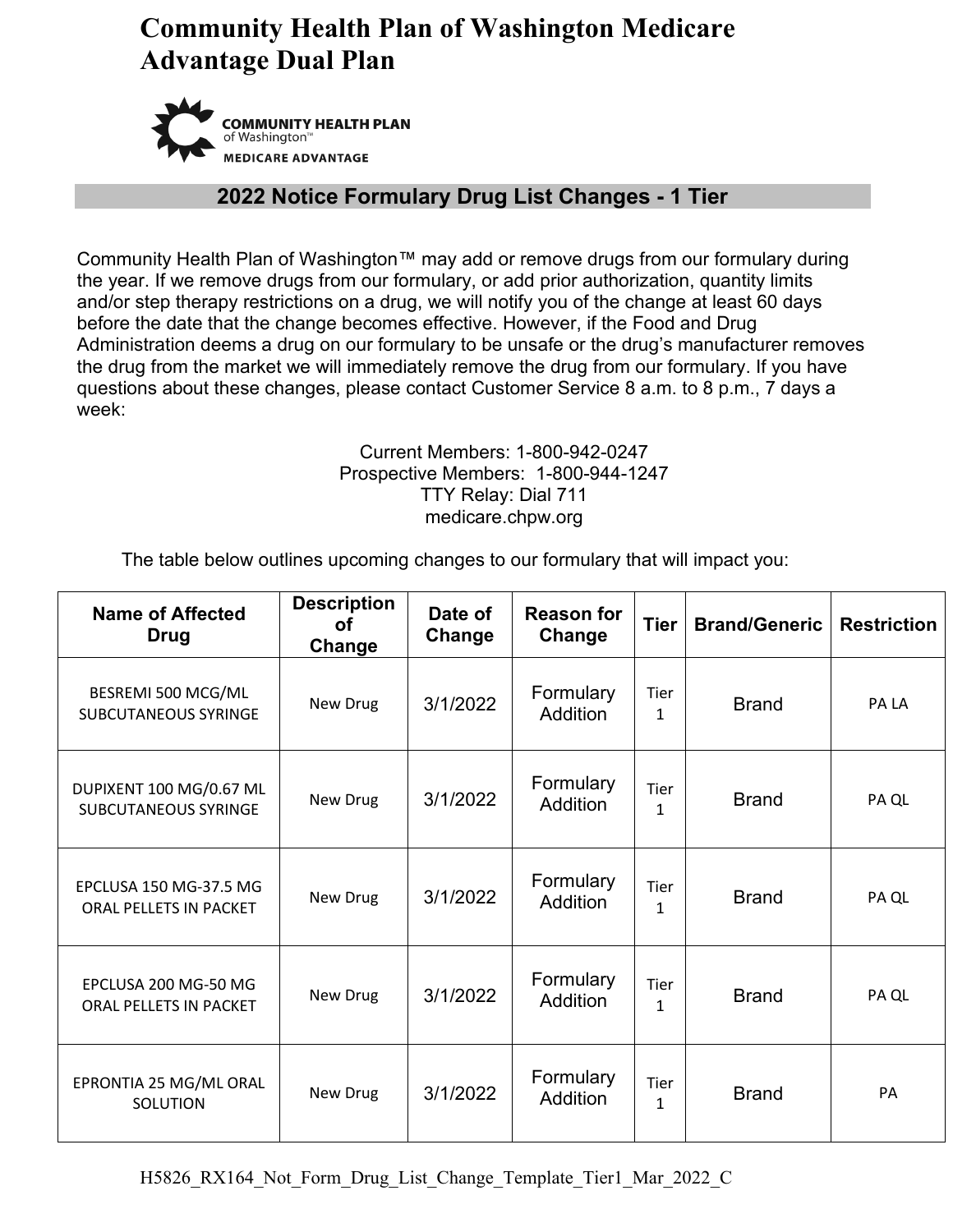# **Community Health Plan of Washington Medicare Advantage Dual Plan**



#### **2022 Notice Formulary Drug List Changes - 1 Tier**

Community Health Plan of Washington™ may add or remove drugs from our formulary during the year. If we remove drugs from our formulary, or add prior authorization, quantity limits and/or step therapy restrictions on a drug, we will notify you of the change at least 60 days before the date that the change becomes effective. However, if the Food and Drug Administration deems a drug on our formulary to be unsafe or the drug's manufacturer removes the drug from the market we will immediately remove the drug from our formulary. If you have questions about these changes, please contact Customer Service 8 a.m. to 8 p.m., 7 days a week:

#### Current Members: 1-800-942-0247 Prospective Members: 1-800-944-1247 TTY Relay: Dial 711 medicare.chpw.org

The table below outlines upcoming changes to our formulary that will impact you:

| <b>Name of Affected</b><br><b>Drug</b>                 | <b>Description</b><br>οf<br>Change | Date of<br>Change | <b>Reason for</b><br>Change  | <b>Tier</b>                 | <b>Brand/Generic</b> | <b>Restriction</b> |
|--------------------------------------------------------|------------------------------------|-------------------|------------------------------|-----------------------------|----------------------|--------------------|
| BESREMI 500 MCG/ML<br><b>SUBCUTANEOUS SYRINGE</b>      | New Drug                           | 3/1/2022          | Formulary<br><b>Addition</b> | Tier<br>$\mathbf{1}$        | <b>Brand</b>         | PA LA              |
| DUPIXENT 100 MG/0.67 ML<br><b>SUBCUTANEOUS SYRINGE</b> | New Drug                           | 3/1/2022          | Formulary<br><b>Addition</b> | <b>Tier</b><br>$\mathbf{1}$ | <b>Brand</b>         | PA QL              |
| EPCLUSA 150 MG-37.5 MG<br>ORAL PELLETS IN PACKET       | New Drug                           | 3/1/2022          | Formulary<br><b>Addition</b> | <b>Tier</b><br>$\mathbf{1}$ | <b>Brand</b>         | PA QL              |
| EPCLUSA 200 MG-50 MG<br><b>ORAL PELLETS IN PACKET</b>  | New Drug                           | 3/1/2022          | Formulary<br><b>Addition</b> | Tier<br>$\mathbf{1}$        | <b>Brand</b>         | PA QL              |
| EPRONTIA 25 MG/ML ORAL<br>SOLUTION                     | New Drug                           | 3/1/2022          | Formulary<br><b>Addition</b> | <b>Tier</b><br>$\mathbf{1}$ | <b>Brand</b>         | PA                 |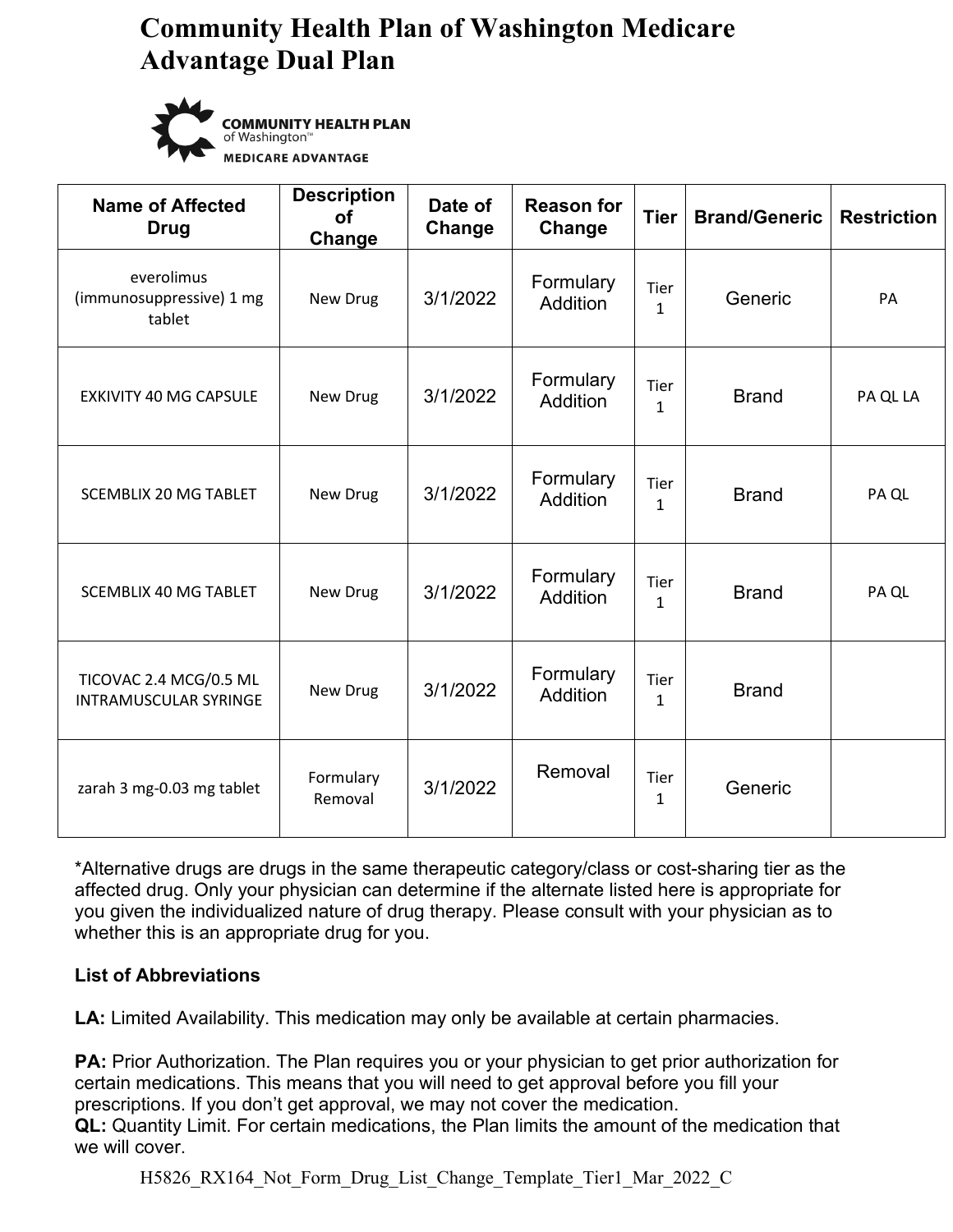# **Community Health Plan of Washington Medicare Advantage Dual Plan**



**COMMUNITY HEALTH PLAN** of Washington™ **MEDICARE ADVANTAGE** 

| <b>Name of Affected</b><br><b>Drug</b>                 | <b>Description</b><br><b>of</b><br>Change | Date of<br>Change | <b>Reason for</b><br>Change  | <b>Tier</b>                 | <b>Brand/Generic</b> | <b>Restriction</b> |
|--------------------------------------------------------|-------------------------------------------|-------------------|------------------------------|-----------------------------|----------------------|--------------------|
| everolimus<br>(immunosuppressive) 1 mg<br>tablet       | New Drug                                  | 3/1/2022          | Formulary<br>Addition        | <b>Tier</b><br>$\mathbf{1}$ | Generic              | PA                 |
| <b>EXKIVITY 40 MG CAPSULE</b>                          | New Drug                                  | 3/1/2022          | Formulary<br><b>Addition</b> | Tier<br>$\mathbf{1}$        | <b>Brand</b>         | PA QL LA           |
| <b>SCEMBLIX 20 MG TABLET</b>                           | New Drug                                  | 3/1/2022          | Formulary<br>Addition        | <b>Tier</b><br>$\mathbf{1}$ | <b>Brand</b>         | PA QL              |
| <b>SCEMBLIX 40 MG TABLET</b>                           | New Drug                                  | 3/1/2022          | Formulary<br>Addition        | Tier<br>$\mathbf{1}$        | <b>Brand</b>         | PA QL              |
| TICOVAC 2.4 MCG/0.5 ML<br><b>INTRAMUSCULAR SYRINGE</b> | New Drug                                  | 3/1/2022          | Formulary<br>Addition        | Tier<br>$\mathbf{1}$        | <b>Brand</b>         |                    |
| zarah 3 mg-0.03 mg tablet                              | Formulary<br>Removal                      | 3/1/2022          | Removal                      | Tier<br>$\mathbf{1}$        | Generic              |                    |

\*Alternative drugs are drugs in the same therapeutic category/class or cost-sharing tier as the affected drug. Only your physician can determine if the alternate listed here is appropriate for you given the individualized nature of drug therapy. Please consult with your physician as to whether this is an appropriate drug for you.

#### **List of Abbreviations**

**LA:** Limited Availability. This medication may only be available at certain pharmacies.

**PA:** Prior Authorization. The Plan requires you or your physician to get prior authorization for certain medications. This means that you will need to get approval before you fill your prescriptions. If you don't get approval, we may not cover the medication.

**QL:** Quantity Limit. For certain medications, the Plan limits the amount of the medication that we will cover.

H5826 RX164 Not Form Drug List Change Template Tier1 Mar 2022 C